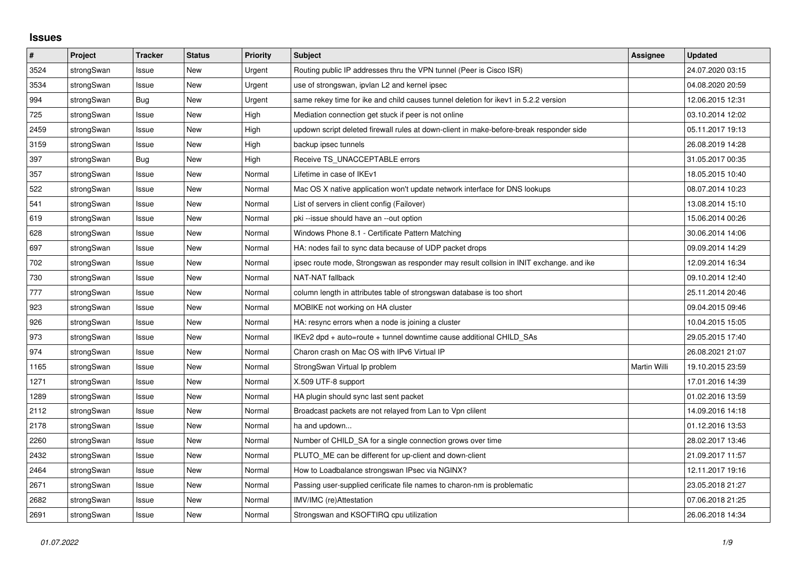## **Issues**

| #    | Project    | <b>Tracker</b> | <b>Status</b> | <b>Priority</b> | <b>Subject</b>                                                                          | <b>Assignee</b>     | <b>Updated</b>   |
|------|------------|----------------|---------------|-----------------|-----------------------------------------------------------------------------------------|---------------------|------------------|
| 3524 | strongSwan | Issue          | New           | Urgent          | Routing public IP addresses thru the VPN tunnel (Peer is Cisco ISR)                     |                     | 24.07.2020 03:15 |
| 3534 | strongSwan | Issue          | <b>New</b>    | Urgent          | use of strongswan, ipvlan L2 and kernel ipsec                                           |                     | 04.08.2020 20:59 |
| 994  | strongSwan | <b>Bug</b>     | New           | Urgent          | same rekey time for ike and child causes tunnel deletion for ikev1 in 5.2.2 version     |                     | 12.06.2015 12:31 |
| 725  | strongSwan | Issue          | <b>New</b>    | High            | Mediation connection get stuck if peer is not online                                    |                     | 03.10.2014 12:02 |
| 2459 | strongSwan | Issue          | <b>New</b>    | High            | updown script deleted firewall rules at down-client in make-before-break responder side |                     | 05.11.2017 19:13 |
| 3159 | strongSwan | Issue          | New           | High            | backup ipsec tunnels                                                                    |                     | 26.08.2019 14:28 |
| 397  | strongSwan | Bug            | <b>New</b>    | High            | Receive TS_UNACCEPTABLE errors                                                          |                     | 31.05.2017 00:35 |
| 357  | strongSwan | Issue          | New           | Normal          | Lifetime in case of IKEv1                                                               |                     | 18.05.2015 10:40 |
| 522  | strongSwan | Issue          | New           | Normal          | Mac OS X native application won't update network interface for DNS lookups              |                     | 08.07.2014 10:23 |
| 541  | strongSwan | Issue          | <b>New</b>    | Normal          | List of servers in client config (Failover)                                             |                     | 13.08.2014 15:10 |
| 619  | strongSwan | Issue          | <b>New</b>    | Normal          | pki --issue should have an --out option                                                 |                     | 15.06.2014 00:26 |
| 628  | strongSwan | Issue          | New           | Normal          | Windows Phone 8.1 - Certificate Pattern Matching                                        |                     | 30.06.2014 14:06 |
| 697  | strongSwan | Issue          | <b>New</b>    | Normal          | HA: nodes fail to sync data because of UDP packet drops                                 |                     | 09.09.2014 14:29 |
| 702  | strongSwan | Issue          | New           | Normal          | ipsec route mode, Strongswan as responder may result collsion in INIT exchange. and ike |                     | 12.09.2014 16:34 |
| 730  | strongSwan | Issue          | <b>New</b>    | Normal          | <b>NAT-NAT fallback</b>                                                                 |                     | 09.10.2014 12:40 |
| 777  | strongSwan | Issue          | <b>New</b>    | Normal          | column length in attributes table of strongswan database is too short                   |                     | 25.11.2014 20:46 |
| 923  | strongSwan | Issue          | New           | Normal          | MOBIKE not working on HA cluster                                                        |                     | 09.04.2015 09:46 |
| 926  | strongSwan | Issue          | New           | Normal          | HA: resync errors when a node is joining a cluster                                      |                     | 10.04.2015 15:05 |
| 973  | strongSwan | Issue          | <b>New</b>    | Normal          | IKEv2 dpd + auto=route + tunnel downtime cause additional CHILD SAs                     |                     | 29.05.2015 17:40 |
| 974  | strongSwan | Issue          | <b>New</b>    | Normal          | Charon crash on Mac OS with IPv6 Virtual IP                                             |                     | 26.08.2021 21:07 |
| 1165 | strongSwan | Issue          | <b>New</b>    | Normal          | StrongSwan Virtual Ip problem                                                           | <b>Martin Willi</b> | 19.10.2015 23:59 |
| 1271 | strongSwan | Issue          | New           | Normal          | X.509 UTF-8 support                                                                     |                     | 17.01.2016 14:39 |
| 1289 | strongSwan | Issue          | New           | Normal          | HA plugin should sync last sent packet                                                  |                     | 01.02.2016 13:59 |
| 2112 | strongSwan | Issue          | <b>New</b>    | Normal          | Broadcast packets are not relayed from Lan to Vpn clilent                               |                     | 14.09.2016 14:18 |
| 2178 | strongSwan | Issue          | New           | Normal          | ha and updown                                                                           |                     | 01.12.2016 13:53 |
| 2260 | strongSwan | Issue          | New           | Normal          | Number of CHILD_SA for a single connection grows over time                              |                     | 28.02.2017 13:46 |
| 2432 | strongSwan | Issue          | <b>New</b>    | Normal          | PLUTO_ME can be different for up-client and down-client                                 |                     | 21.09.2017 11:57 |
| 2464 | strongSwan | Issue          | <b>New</b>    | Normal          | How to Loadbalance strongswan IPsec via NGINX?                                          |                     | 12.11.2017 19:16 |
| 2671 | strongSwan | Issue          | New           | Normal          | Passing user-supplied cerificate file names to charon-nm is problematic                 |                     | 23.05.2018 21:27 |
| 2682 | strongSwan | Issue          | New           | Normal          | IMV/IMC (re)Attestation                                                                 |                     | 07.06.2018 21:25 |
| 2691 | strongSwan | Issue          | <b>New</b>    | Normal          | Strongswan and KSOFTIRQ cpu utilization                                                 |                     | 26.06.2018 14:34 |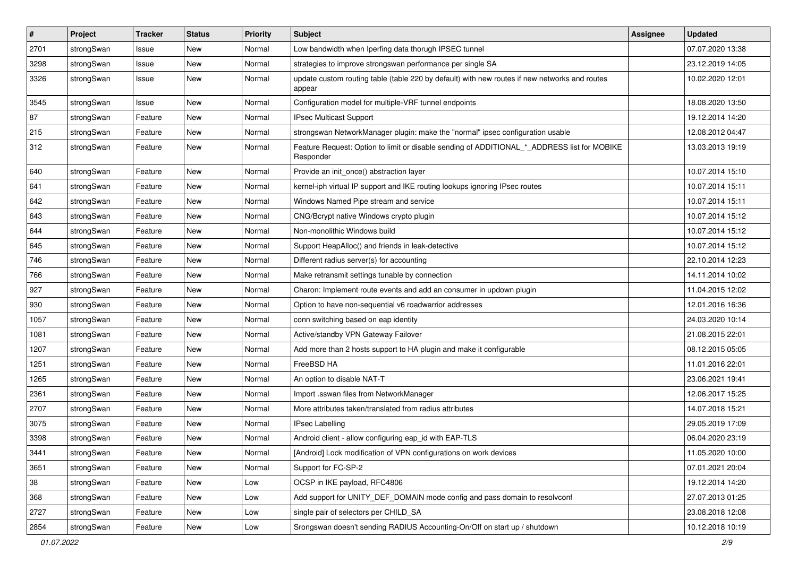| $\pmb{\#}$ | Project    | <b>Tracker</b> | <b>Status</b> | <b>Priority</b> | <b>Subject</b>                                                                                           | Assignee | <b>Updated</b>   |
|------------|------------|----------------|---------------|-----------------|----------------------------------------------------------------------------------------------------------|----------|------------------|
| 2701       | strongSwan | Issue          | New           | Normal          | Low bandwidth when Iperfing data thorugh IPSEC tunnel                                                    |          | 07.07.2020 13:38 |
| 3298       | strongSwan | Issue          | <b>New</b>    | Normal          | strategies to improve strongswan performance per single SA                                               |          | 23.12.2019 14:05 |
| 3326       | strongSwan | Issue          | New           | Normal          | update custom routing table (table 220 by default) with new routes if new networks and routes<br>appear  |          | 10.02.2020 12:01 |
| 3545       | strongSwan | Issue          | <b>New</b>    | Normal          | Configuration model for multiple-VRF tunnel endpoints                                                    |          | 18.08.2020 13:50 |
| 87         | strongSwan | Feature        | <b>New</b>    | Normal          | <b>IPsec Multicast Support</b>                                                                           |          | 19.12.2014 14:20 |
| 215        | strongSwan | Feature        | <b>New</b>    | Normal          | strongswan NetworkManager plugin: make the "normal" ipsec configuration usable                           |          | 12.08.2012 04:47 |
| 312        | strongSwan | Feature        | New           | Normal          | Feature Request: Option to limit or disable sending of ADDITIONAL_*_ADDRESS list for MOBIKE<br>Responder |          | 13.03.2013 19:19 |
| 640        | strongSwan | Feature        | New           | Normal          | Provide an init_once() abstraction layer                                                                 |          | 10.07.2014 15:10 |
| 641        | strongSwan | Feature        | New           | Normal          | kernel-iph virtual IP support and IKE routing lookups ignoring IPsec routes                              |          | 10.07.2014 15:11 |
| 642        | strongSwan | Feature        | New           | Normal          | Windows Named Pipe stream and service                                                                    |          | 10.07.2014 15:11 |
| 643        | strongSwan | Feature        | <b>New</b>    | Normal          | CNG/Bcrypt native Windows crypto plugin                                                                  |          | 10.07.2014 15:12 |
| 644        | strongSwan | Feature        | New           | Normal          | Non-monolithic Windows build                                                                             |          | 10.07.2014 15:12 |
| 645        | strongSwan | Feature        | <b>New</b>    | Normal          | Support HeapAlloc() and friends in leak-detective                                                        |          | 10.07.2014 15:12 |
| 746        | strongSwan | Feature        | New           | Normal          | Different radius server(s) for accounting                                                                |          | 22.10.2014 12:23 |
| 766        | strongSwan | Feature        | <b>New</b>    | Normal          | Make retransmit settings tunable by connection                                                           |          | 14.11.2014 10:02 |
| 927        | strongSwan | Feature        | <b>New</b>    | Normal          | Charon: Implement route events and add an consumer in updown plugin                                      |          | 11.04.2015 12:02 |
| 930        | strongSwan | Feature        | New           | Normal          | Option to have non-sequential v6 roadwarrior addresses                                                   |          | 12.01.2016 16:36 |
| 1057       | strongSwan | Feature        | New           | Normal          | conn switching based on eap identity                                                                     |          | 24.03.2020 10:14 |
| 1081       | strongSwan | Feature        | <b>New</b>    | Normal          | Active/standby VPN Gateway Failover                                                                      |          | 21.08.2015 22:01 |
| 1207       | strongSwan | Feature        | <b>New</b>    | Normal          | Add more than 2 hosts support to HA plugin and make it configurable                                      |          | 08.12.2015 05:05 |
| 1251       | strongSwan | Feature        | New           | Normal          | FreeBSD HA                                                                                               |          | 11.01.2016 22:01 |
| 1265       | strongSwan | Feature        | <b>New</b>    | Normal          | An option to disable NAT-T                                                                               |          | 23.06.2021 19:41 |
| 2361       | strongSwan | Feature        | New           | Normal          | Import .sswan files from NetworkManager                                                                  |          | 12.06.2017 15:25 |
| 2707       | strongSwan | Feature        | New           | Normal          | More attributes taken/translated from radius attributes                                                  |          | 14.07.2018 15:21 |
| 3075       | strongSwan | Feature        | <b>New</b>    | Normal          | <b>IPsec Labelling</b>                                                                                   |          | 29.05.2019 17:09 |
| 3398       | strongSwan | Feature        | New           | Normal          | Android client - allow configuring eap_id with EAP-TLS                                                   |          | 06.04.2020 23:19 |
| 3441       | strongSwan | Feature        | New           | Normal          | [Android] Lock modification of VPN configurations on work devices                                        |          | 11.05.2020 10:00 |
| 3651       | strongSwan | Feature        | <b>New</b>    | Normal          | Support for FC-SP-2                                                                                      |          | 07.01.2021 20:04 |
| 38         | strongSwan | Feature        | New           | Low             | OCSP in IKE payload, RFC4806                                                                             |          | 19.12.2014 14:20 |
| 368        | strongSwan | Feature        | New           | Low             | Add support for UNITY DEF DOMAIN mode config and pass domain to resolvconf                               |          | 27.07.2013 01:25 |
| 2727       | strongSwan | Feature        | New           | Low             | single pair of selectors per CHILD_SA                                                                    |          | 23.08.2018 12:08 |
| 2854       | strongSwan | Feature        | New           | Low             | Srongswan doesn't sending RADIUS Accounting-On/Off on start up / shutdown                                |          | 10.12.2018 10:19 |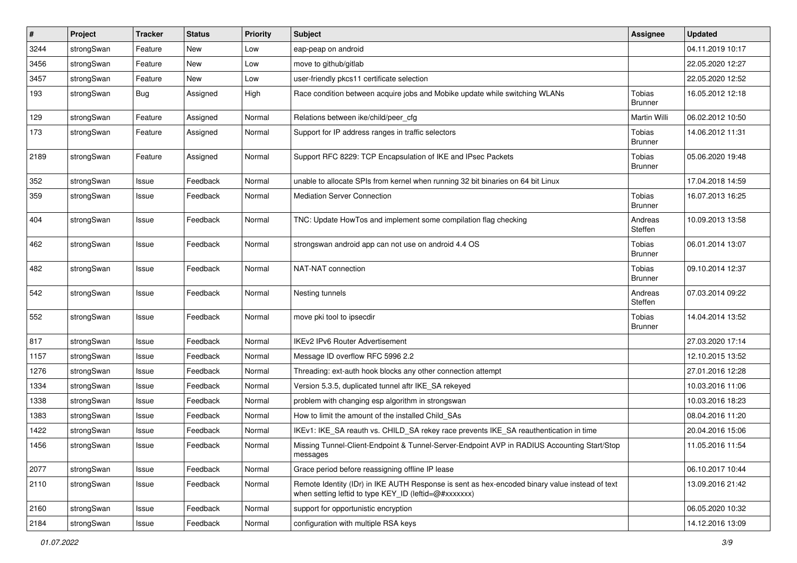| #    | Project    | <b>Tracker</b> | <b>Status</b> | <b>Priority</b> | Subject                                                                                                                                                 | <b>Assignee</b>                 | <b>Updated</b>   |
|------|------------|----------------|---------------|-----------------|---------------------------------------------------------------------------------------------------------------------------------------------------------|---------------------------------|------------------|
| 3244 | strongSwan | Feature        | New           | Low             | eap-peap on android                                                                                                                                     |                                 | 04.11.2019 10:17 |
| 3456 | strongSwan | Feature        | New           | Low             | move to github/gitlab                                                                                                                                   |                                 | 22.05.2020 12:27 |
| 3457 | strongSwan | Feature        | New           | Low             | user-friendly pkcs11 certificate selection                                                                                                              |                                 | 22.05.2020 12:52 |
| 193  | strongSwan | Bug            | Assigned      | High            | Race condition between acquire jobs and Mobike update while switching WLANs                                                                             | Tobias<br><b>Brunner</b>        | 16.05.2012 12:18 |
| 129  | strongSwan | Feature        | Assigned      | Normal          | Relations between ike/child/peer_cfg                                                                                                                    | Martin Willi                    | 06.02.2012 10:50 |
| 173  | strongSwan | Feature        | Assigned      | Normal          | Support for IP address ranges in traffic selectors                                                                                                      | Tobias<br><b>Brunner</b>        | 14.06.2012 11:31 |
| 2189 | strongSwan | Feature        | Assigned      | Normal          | Support RFC 8229: TCP Encapsulation of IKE and IPsec Packets                                                                                            | Tobias<br><b>Brunner</b>        | 05.06.2020 19:48 |
| 352  | strongSwan | Issue          | Feedback      | Normal          | unable to allocate SPIs from kernel when running 32 bit binaries on 64 bit Linux                                                                        |                                 | 17.04.2018 14:59 |
| 359  | strongSwan | Issue          | Feedback      | Normal          | <b>Mediation Server Connection</b>                                                                                                                      | <b>Tobias</b><br><b>Brunner</b> | 16.07.2013 16:25 |
| 404  | strongSwan | Issue          | Feedback      | Normal          | TNC: Update HowTos and implement some compilation flag checking                                                                                         | Andreas<br>Steffen              | 10.09.2013 13:58 |
| 462  | strongSwan | Issue          | Feedback      | Normal          | strongswan android app can not use on android 4.4 OS                                                                                                    | Tobias<br>Brunner               | 06.01.2014 13:07 |
| 482  | strongSwan | Issue          | Feedback      | Normal          | NAT-NAT connection                                                                                                                                      | Tobias<br><b>Brunner</b>        | 09.10.2014 12:37 |
| 542  | strongSwan | Issue          | Feedback      | Normal          | Nesting tunnels                                                                                                                                         | Andreas<br>Steffen              | 07.03.2014 09:22 |
| 552  | strongSwan | Issue          | Feedback      | Normal          | move pki tool to ipsecdir                                                                                                                               | Tobias<br><b>Brunner</b>        | 14.04.2014 13:52 |
| 817  | strongSwan | Issue          | Feedback      | Normal          | <b>IKEv2 IPv6 Router Advertisement</b>                                                                                                                  |                                 | 27.03.2020 17:14 |
| 1157 | strongSwan | Issue          | Feedback      | Normal          | Message ID overflow RFC 5996 2.2                                                                                                                        |                                 | 12.10.2015 13:52 |
| 1276 | strongSwan | Issue          | Feedback      | Normal          | Threading: ext-auth hook blocks any other connection attempt                                                                                            |                                 | 27.01.2016 12:28 |
| 1334 | strongSwan | Issue          | Feedback      | Normal          | Version 5.3.5, duplicated tunnel aftr IKE_SA rekeyed                                                                                                    |                                 | 10.03.2016 11:06 |
| 1338 | strongSwan | Issue          | Feedback      | Normal          | problem with changing esp algorithm in strongswan                                                                                                       |                                 | 10.03.2016 18:23 |
| 1383 | strongSwan | Issue          | Feedback      | Normal          | How to limit the amount of the installed Child_SAs                                                                                                      |                                 | 08.04.2016 11:20 |
| 1422 | strongSwan | Issue          | Feedback      | Normal          | IKEv1: IKE_SA reauth vs. CHILD_SA rekey race prevents IKE_SA reauthentication in time                                                                   |                                 | 20.04.2016 15:06 |
| 1456 | strongSwan | Issue          | Feedback      | Normal          | Missing Tunnel-Client-Endpoint & Tunnel-Server-Endpoint AVP in RADIUS Accounting Start/Stop<br>messages                                                 |                                 | 11.05.2016 11:54 |
| 2077 | strongSwan | Issue          | Feedback      | Normal          | Grace period before reassigning offline IP lease                                                                                                        |                                 | 06.10.2017 10:44 |
| 2110 | strongSwan | Issue          | Feedback      | Normal          | Remote Identity (IDr) in IKE AUTH Response is sent as hex-encoded binary value instead of text<br>when setting leftid to type KEY_ID (leftid=@#xxxxxxx) |                                 | 13.09.2016 21:42 |
| 2160 | strongSwan | Issue          | Feedback      | Normal          | support for opportunistic encryption                                                                                                                    |                                 | 06.05.2020 10:32 |
| 2184 | strongSwan | Issue          | Feedback      | Normal          | configuration with multiple RSA keys                                                                                                                    |                                 | 14.12.2016 13:09 |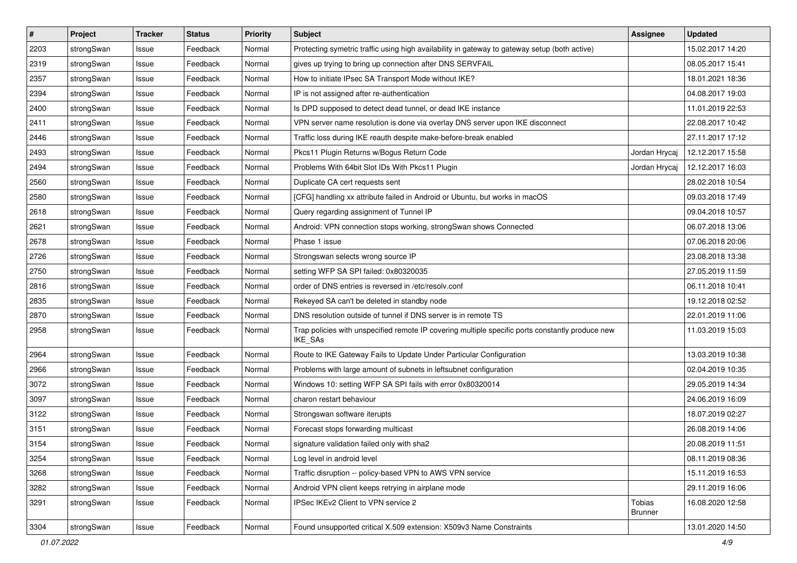| $\pmb{\#}$ | Project    | <b>Tracker</b> | <b>Status</b> | <b>Priority</b> | <b>Subject</b>                                                                                              | <b>Assignee</b>                 | <b>Updated</b>   |
|------------|------------|----------------|---------------|-----------------|-------------------------------------------------------------------------------------------------------------|---------------------------------|------------------|
| 2203       | strongSwan | Issue          | Feedback      | Normal          | Protecting symetric traffic using high availability in gateway to gateway setup (both active)               |                                 | 15.02.2017 14:20 |
| 2319       | strongSwan | Issue          | Feedback      | Normal          | gives up trying to bring up connection after DNS SERVFAIL                                                   |                                 | 08.05.2017 15:41 |
| 2357       | strongSwan | Issue          | Feedback      | Normal          | How to initiate IPsec SA Transport Mode without IKE?                                                        |                                 | 18.01.2021 18:36 |
| 2394       | strongSwan | Issue          | Feedback      | Normal          | IP is not assigned after re-authentication                                                                  |                                 | 04.08.2017 19:03 |
| 2400       | strongSwan | Issue          | Feedback      | Normal          | Is DPD supposed to detect dead tunnel, or dead IKE instance                                                 |                                 | 11.01.2019 22:53 |
| 2411       | strongSwan | Issue          | Feedback      | Normal          | VPN server name resolution is done via overlay DNS server upon IKE disconnect                               |                                 | 22.08.2017 10:42 |
| 2446       | strongSwan | Issue          | Feedback      | Normal          | Traffic loss during IKE reauth despite make-before-break enabled                                            |                                 | 27.11.2017 17:12 |
| 2493       | strongSwan | Issue          | Feedback      | Normal          | Pkcs11 Plugin Returns w/Bogus Return Code                                                                   | Jordan Hrycaj                   | 12.12.2017 15:58 |
| 2494       | strongSwan | Issue          | Feedback      | Normal          | Problems With 64bit Slot IDs With Pkcs11 Plugin                                                             | Jordan Hrycaj                   | 12.12.2017 16:03 |
| 2560       | strongSwan | Issue          | Feedback      | Normal          | Duplicate CA cert requests sent                                                                             |                                 | 28.02.2018 10:54 |
| 2580       | strongSwan | Issue          | Feedback      | Normal          | [CFG] handling xx attribute failed in Android or Ubuntu, but works in macOS                                 |                                 | 09.03.2018 17:49 |
| 2618       | strongSwan | Issue          | Feedback      | Normal          | Query regarding assignment of Tunnel IP                                                                     |                                 | 09.04.2018 10:57 |
| 2621       | strongSwan | Issue          | Feedback      | Normal          | Android: VPN connection stops working, strongSwan shows Connected                                           |                                 | 06.07.2018 13:06 |
| 2678       | strongSwan | Issue          | Feedback      | Normal          | Phase 1 issue                                                                                               |                                 | 07.06.2018 20:06 |
| 2726       | strongSwan | Issue          | Feedback      | Normal          | Strongswan selects wrong source IP                                                                          |                                 | 23.08.2018 13:38 |
| 2750       | strongSwan | Issue          | Feedback      | Normal          | setting WFP SA SPI failed: 0x80320035                                                                       |                                 | 27.05.2019 11:59 |
| 2816       | strongSwan | Issue          | Feedback      | Normal          | order of DNS entries is reversed in /etc/resolv.conf                                                        |                                 | 06.11.2018 10:41 |
| 2835       | strongSwan | Issue          | Feedback      | Normal          | Rekeyed SA can't be deleted in standby node                                                                 |                                 | 19.12.2018 02:52 |
| 2870       | strongSwan | Issue          | Feedback      | Normal          | DNS resolution outside of tunnel if DNS server is in remote TS                                              |                                 | 22.01.2019 11:06 |
| 2958       | strongSwan | Issue          | Feedback      | Normal          | Trap policies with unspecified remote IP covering multiple specific ports constantly produce new<br>IKE_SAs |                                 | 11.03.2019 15:03 |
| 2964       | strongSwan | Issue          | Feedback      | Normal          | Route to IKE Gateway Fails to Update Under Particular Configuration                                         |                                 | 13.03.2019 10:38 |
| 2966       | strongSwan | Issue          | Feedback      | Normal          | Problems with large amount of subnets in leftsubnet configuration                                           |                                 | 02.04.2019 10:35 |
| 3072       | strongSwan | Issue          | Feedback      | Normal          | Windows 10: setting WFP SA SPI fails with error 0x80320014                                                  |                                 | 29.05.2019 14:34 |
| 3097       | strongSwan | Issue          | Feedback      | Normal          | charon restart behaviour                                                                                    |                                 | 24.06.2019 16:09 |
| 3122       | strongSwan | Issue          | Feedback      | Normal          | Strongswan software iterupts                                                                                |                                 | 18.07.2019 02:27 |
| 3151       | strongSwan | Issue          | Feedback      | Normal          | Forecast stops forwarding multicast                                                                         |                                 | 26.08.2019 14:06 |
| 3154       | strongSwan | Issue          | Feedback      | Normal          | signature validation failed only with sha2                                                                  |                                 | 20.08.2019 11:51 |
| 3254       | strongSwan | Issue          | Feedback      | Normal          | Log level in android level                                                                                  |                                 | 08.11.2019 08:36 |
| 3268       | strongSwan | Issue          | Feedback      | Normal          | Traffic disruption -- policy-based VPN to AWS VPN service                                                   |                                 | 15.11.2019 16:53 |
| 3282       | strongSwan | Issue          | Feedback      | Normal          | Android VPN client keeps retrying in airplane mode                                                          |                                 | 29.11.2019 16:06 |
| 3291       | strongSwan | Issue          | Feedback      | Normal          | IPSec IKEv2 Client to VPN service 2                                                                         | <b>Tobias</b><br><b>Brunner</b> | 16.08.2020 12:58 |
| 3304       | strongSwan | Issue          | Feedback      | Normal          | Found unsupported critical X.509 extension: X509v3 Name Constraints                                         |                                 | 13.01.2020 14:50 |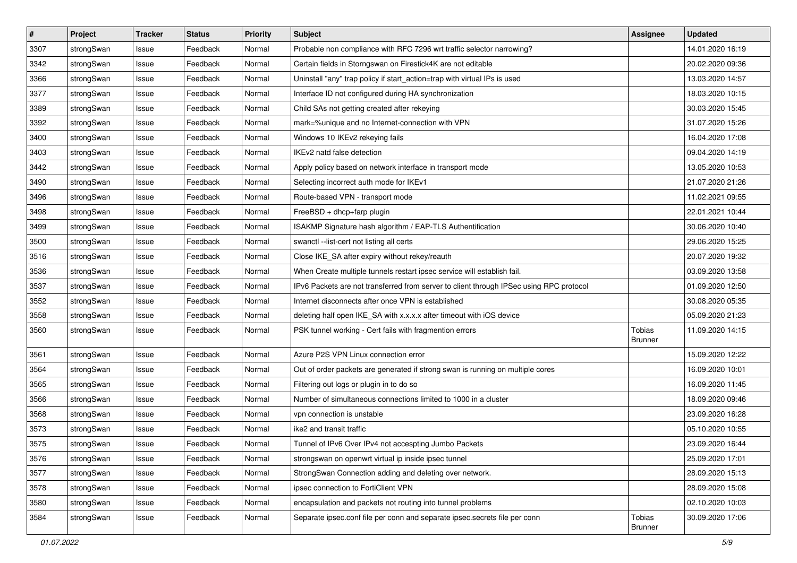| $\vert$ # | Project    | <b>Tracker</b> | <b>Status</b> | <b>Priority</b> | <b>Subject</b>                                                                          | <b>Assignee</b>                 | <b>Updated</b>   |
|-----------|------------|----------------|---------------|-----------------|-----------------------------------------------------------------------------------------|---------------------------------|------------------|
| 3307      | strongSwan | Issue          | Feedback      | Normal          | Probable non compliance with RFC 7296 wrt traffic selector narrowing?                   |                                 | 14.01.2020 16:19 |
| 3342      | strongSwan | Issue          | Feedback      | Normal          | Certain fields in Storngswan on Firestick4K are not editable                            |                                 | 20.02.2020 09:36 |
| 3366      | strongSwan | Issue          | Feedback      | Normal          | Uninstall "any" trap policy if start_action=trap with virtual IPs is used               |                                 | 13.03.2020 14:57 |
| 3377      | strongSwan | Issue          | Feedback      | Normal          | Interface ID not configured during HA synchronization                                   |                                 | 18.03.2020 10:15 |
| 3389      | strongSwan | Issue          | Feedback      | Normal          | Child SAs not getting created after rekeying                                            |                                 | 30.03.2020 15:45 |
| 3392      | strongSwan | Issue          | Feedback      | Normal          | mark=%unique and no Internet-connection with VPN                                        |                                 | 31.07.2020 15:26 |
| 3400      | strongSwan | Issue          | Feedback      | Normal          | Windows 10 IKEv2 rekeying fails                                                         |                                 | 16.04.2020 17:08 |
| 3403      | strongSwan | Issue          | Feedback      | Normal          | IKEv2 natd false detection                                                              |                                 | 09.04.2020 14:19 |
| 3442      | strongSwan | Issue          | Feedback      | Normal          | Apply policy based on network interface in transport mode                               |                                 | 13.05.2020 10:53 |
| 3490      | strongSwan | Issue          | Feedback      | Normal          | Selecting incorrect auth mode for IKEv1                                                 |                                 | 21.07.2020 21:26 |
| 3496      | strongSwan | Issue          | Feedback      | Normal          | Route-based VPN - transport mode                                                        |                                 | 11.02.2021 09:55 |
| 3498      | strongSwan | Issue          | Feedback      | Normal          | FreeBSD + dhcp+farp plugin                                                              |                                 | 22.01.2021 10:44 |
| 3499      | strongSwan | Issue          | Feedback      | Normal          | ISAKMP Signature hash algorithm / EAP-TLS Authentification                              |                                 | 30.06.2020 10:40 |
| 3500      | strongSwan | Issue          | Feedback      | Normal          | swanctl --list-cert not listing all certs                                               |                                 | 29.06.2020 15:25 |
| 3516      | strongSwan | Issue          | Feedback      | Normal          | Close IKE_SA after expiry without rekey/reauth                                          |                                 | 20.07.2020 19:32 |
| 3536      | strongSwan | Issue          | Feedback      | Normal          | When Create multiple tunnels restart ipsec service will establish fail.                 |                                 | 03.09.2020 13:58 |
| 3537      | strongSwan | Issue          | Feedback      | Normal          | IPv6 Packets are not transferred from server to client through IPSec using RPC protocol |                                 | 01.09.2020 12:50 |
| 3552      | strongSwan | Issue          | Feedback      | Normal          | Internet disconnects after once VPN is established                                      |                                 | 30.08.2020 05:35 |
| 3558      | strongSwan | Issue          | Feedback      | Normal          | deleting half open IKE_SA with x.x.x.x after timeout with iOS device                    |                                 | 05.09.2020 21:23 |
| 3560      | strongSwan | Issue          | Feedback      | Normal          | PSK tunnel working - Cert fails with fragmention errors                                 | <b>Tobias</b><br><b>Brunner</b> | 11.09.2020 14:15 |
| 3561      | strongSwan | Issue          | Feedback      | Normal          | Azure P2S VPN Linux connection error                                                    |                                 | 15.09.2020 12:22 |
| 3564      | strongSwan | Issue          | Feedback      | Normal          | Out of order packets are generated if strong swan is running on multiple cores          |                                 | 16.09.2020 10:01 |
| 3565      | strongSwan | Issue          | Feedback      | Normal          | Filtering out logs or plugin in to do so                                                |                                 | 16.09.2020 11:45 |
| 3566      | strongSwan | Issue          | Feedback      | Normal          | Number of simultaneous connections limited to 1000 in a cluster                         |                                 | 18.09.2020 09:46 |
| 3568      | strongSwan | Issue          | Feedback      | Normal          | vpn connection is unstable                                                              |                                 | 23.09.2020 16:28 |
| 3573      | strongSwan | Issue          | Feedback      | Normal          | ike2 and transit traffic                                                                |                                 | 05.10.2020 10:55 |
| 3575      | strongSwan | Issue          | Feedback      | Normal          | Tunnel of IPv6 Over IPv4 not accespting Jumbo Packets                                   |                                 | 23.09.2020 16:44 |
| 3576      | strongSwan | Issue          | Feedback      | Normal          | strongswan on openwrt virtual ip inside ipsec tunnel                                    |                                 | 25.09.2020 17:01 |
| 3577      | strongSwan | Issue          | Feedback      | Normal          | StrongSwan Connection adding and deleting over network.                                 |                                 | 28.09.2020 15:13 |
| 3578      | strongSwan | Issue          | Feedback      | Normal          | ipsec connection to FortiClient VPN                                                     |                                 | 28.09.2020 15:08 |
| 3580      | strongSwan | Issue          | Feedback      | Normal          | encapsulation and packets not routing into tunnel problems                              |                                 | 02.10.2020 10:03 |
| 3584      | strongSwan | Issue          | Feedback      | Normal          | Separate ipsec.conf file per conn and separate ipsec.secrets file per conn              | Tobias<br>Brunner               | 30.09.2020 17:06 |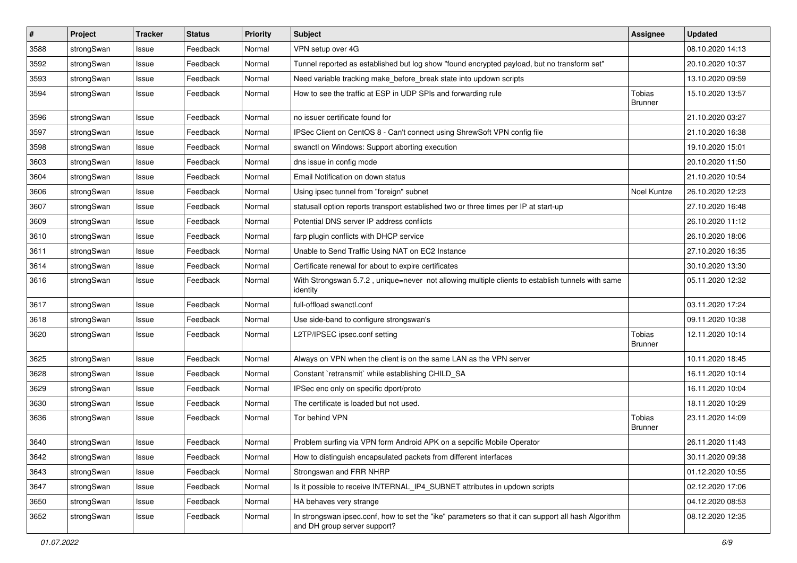| $\vert$ # | Project    | <b>Tracker</b> | <b>Status</b> | Priority | Subject                                                                                                                             | <b>Assignee</b>          | <b>Updated</b>   |
|-----------|------------|----------------|---------------|----------|-------------------------------------------------------------------------------------------------------------------------------------|--------------------------|------------------|
| 3588      | strongSwan | Issue          | Feedback      | Normal   | VPN setup over 4G                                                                                                                   |                          | 08.10.2020 14:13 |
| 3592      | strongSwan | Issue          | Feedback      | Normal   | Tunnel reported as established but log show "found encrypted payload, but no transform set"                                         |                          | 20.10.2020 10:37 |
| 3593      | strongSwan | Issue          | Feedback      | Normal   | Need variable tracking make_before_break state into updown scripts                                                                  |                          | 13.10.2020 09:59 |
| 3594      | strongSwan | Issue          | Feedback      | Normal   | How to see the traffic at ESP in UDP SPIs and forwarding rule                                                                       | Tobias<br><b>Brunner</b> | 15.10.2020 13:57 |
| 3596      | strongSwan | Issue          | Feedback      | Normal   | no issuer certificate found for                                                                                                     |                          | 21.10.2020 03:27 |
| 3597      | strongSwan | Issue          | Feedback      | Normal   | IPSec Client on CentOS 8 - Can't connect using ShrewSoft VPN config file                                                            |                          | 21.10.2020 16:38 |
| 3598      | strongSwan | Issue          | Feedback      | Normal   | swanctl on Windows: Support aborting execution                                                                                      |                          | 19.10.2020 15:01 |
| 3603      | strongSwan | Issue          | Feedback      | Normal   | dns issue in config mode                                                                                                            |                          | 20.10.2020 11:50 |
| 3604      | strongSwan | Issue          | Feedback      | Normal   | Email Notification on down status                                                                                                   |                          | 21.10.2020 10:54 |
| 3606      | strongSwan | Issue          | Feedback      | Normal   | Using ipsec tunnel from "foreign" subnet                                                                                            | Noel Kuntze              | 26.10.2020 12:23 |
| 3607      | strongSwan | Issue          | Feedback      | Normal   | statusall option reports transport established two or three times per IP at start-up                                                |                          | 27.10.2020 16:48 |
| 3609      | strongSwan | Issue          | Feedback      | Normal   | Potential DNS server IP address conflicts                                                                                           |                          | 26.10.2020 11:12 |
| 3610      | strongSwan | Issue          | Feedback      | Normal   | farp plugin conflicts with DHCP service                                                                                             |                          | 26.10.2020 18:06 |
| 3611      | strongSwan | Issue          | Feedback      | Normal   | Unable to Send Traffic Using NAT on EC2 Instance                                                                                    |                          | 27.10.2020 16:35 |
| 3614      | strongSwan | Issue          | Feedback      | Normal   | Certificate renewal for about to expire certificates                                                                                |                          | 30.10.2020 13:30 |
| 3616      | strongSwan | Issue          | Feedback      | Normal   | With Strongswan 5.7.2, unique=never not allowing multiple clients to establish tunnels with same<br>identity                        |                          | 05.11.2020 12:32 |
| 3617      | strongSwan | Issue          | Feedback      | Normal   | full-offload swanctl.conf                                                                                                           |                          | 03.11.2020 17:24 |
| 3618      | strongSwan | Issue          | Feedback      | Normal   | Use side-band to configure strongswan's                                                                                             |                          | 09.11.2020 10:38 |
| 3620      | strongSwan | Issue          | Feedback      | Normal   | L2TP/IPSEC ipsec.conf setting                                                                                                       | Tobias<br><b>Brunner</b> | 12.11.2020 10:14 |
| 3625      | strongSwan | Issue          | Feedback      | Normal   | Always on VPN when the client is on the same LAN as the VPN server                                                                  |                          | 10.11.2020 18:45 |
| 3628      | strongSwan | Issue          | Feedback      | Normal   | Constant `retransmit` while establishing CHILD_SA                                                                                   |                          | 16.11.2020 10:14 |
| 3629      | strongSwan | Issue          | Feedback      | Normal   | IPSec enc only on specific dport/proto                                                                                              |                          | 16.11.2020 10:04 |
| 3630      | strongSwan | Issue          | Feedback      | Normal   | The certificate is loaded but not used.                                                                                             |                          | 18.11.2020 10:29 |
| 3636      | strongSwan | Issue          | Feedback      | Normal   | Tor behind VPN                                                                                                                      | Tobias<br><b>Brunner</b> | 23.11.2020 14:09 |
| 3640      | strongSwan | Issue          | Feedback      | Normal   | Problem surfing via VPN form Android APK on a sepcific Mobile Operator                                                              |                          | 26.11.2020 11:43 |
| 3642      | strongSwan | Issue          | Feedback      | Normal   | How to distinguish encapsulated packets from different interfaces                                                                   |                          | 30.11.2020 09:38 |
| 3643      | strongSwan | Issue          | Feedback      | Normal   | Strongswan and FRR NHRP                                                                                                             |                          | 01.12.2020 10:55 |
| 3647      | strongSwan | Issue          | Feedback      | Normal   | Is it possible to receive INTERNAL_IP4_SUBNET attributes in updown scripts                                                          |                          | 02.12.2020 17:06 |
| 3650      | strongSwan | Issue          | Feedback      | Normal   | HA behaves very strange                                                                                                             |                          | 04.12.2020 08:53 |
| 3652      | strongSwan | Issue          | Feedback      | Normal   | In strongswan ipsec.conf, how to set the "ike" parameters so that it can support all hash Algorithm<br>and DH group server support? |                          | 08.12.2020 12:35 |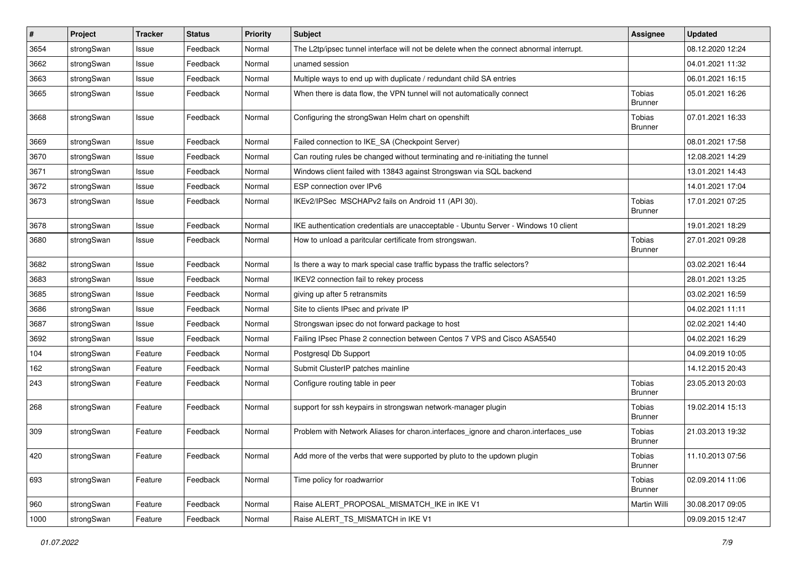| $\vert$ # | Project    | <b>Tracker</b> | <b>Status</b> | <b>Priority</b> | Subject                                                                                 | <b>Assignee</b>                 | <b>Updated</b>   |
|-----------|------------|----------------|---------------|-----------------|-----------------------------------------------------------------------------------------|---------------------------------|------------------|
| 3654      | strongSwan | Issue          | Feedback      | Normal          | The L2tp/ipsec tunnel interface will not be delete when the connect abnormal interrupt. |                                 | 08.12.2020 12:24 |
| 3662      | strongSwan | Issue          | Feedback      | Normal          | unamed session                                                                          |                                 | 04.01.2021 11:32 |
| 3663      | strongSwan | Issue          | Feedback      | Normal          | Multiple ways to end up with duplicate / redundant child SA entries                     |                                 | 06.01.2021 16:15 |
| 3665      | strongSwan | Issue          | Feedback      | Normal          | When there is data flow, the VPN tunnel will not automatically connect                  | <b>Tobias</b><br><b>Brunner</b> | 05.01.2021 16:26 |
| 3668      | strongSwan | Issue          | Feedback      | Normal          | Configuring the strongSwan Helm chart on openshift                                      | Tobias<br><b>Brunner</b>        | 07.01.2021 16:33 |
| 3669      | strongSwan | Issue          | Feedback      | Normal          | Failed connection to IKE_SA (Checkpoint Server)                                         |                                 | 08.01.2021 17:58 |
| 3670      | strongSwan | Issue          | Feedback      | Normal          | Can routing rules be changed without terminating and re-initiating the tunnel           |                                 | 12.08.2021 14:29 |
| 3671      | strongSwan | Issue          | Feedback      | Normal          | Windows client failed with 13843 against Strongswan via SQL backend                     |                                 | 13.01.2021 14:43 |
| 3672      | strongSwan | Issue          | Feedback      | Normal          | ESP connection over IPv6                                                                |                                 | 14.01.2021 17:04 |
| 3673      | strongSwan | Issue          | Feedback      | Normal          | IKEv2/IPSec MSCHAPv2 fails on Android 11 (API 30).                                      | <b>Tobias</b><br><b>Brunner</b> | 17.01.2021 07:25 |
| 3678      | strongSwan | Issue          | Feedback      | Normal          | IKE authentication credentials are unacceptable - Ubuntu Server - Windows 10 client     |                                 | 19.01.2021 18:29 |
| 3680      | strongSwan | Issue          | Feedback      | Normal          | How to unload a paritcular certificate from strongswan.                                 | <b>Tobias</b><br><b>Brunner</b> | 27.01.2021 09:28 |
| 3682      | strongSwan | Issue          | Feedback      | Normal          | Is there a way to mark special case traffic bypass the traffic selectors?               |                                 | 03.02.2021 16:44 |
| 3683      | strongSwan | Issue          | Feedback      | Normal          | IKEV2 connection fail to rekey process                                                  |                                 | 28.01.2021 13:25 |
| 3685      | strongSwan | Issue          | Feedback      | Normal          | giving up after 5 retransmits                                                           |                                 | 03.02.2021 16:59 |
| 3686      | strongSwan | Issue          | Feedback      | Normal          | Site to clients IPsec and private IP                                                    |                                 | 04.02.2021 11:11 |
| 3687      | strongSwan | Issue          | Feedback      | Normal          | Strongswan ipsec do not forward package to host                                         |                                 | 02.02.2021 14:40 |
| 3692      | strongSwan | Issue          | Feedback      | Normal          | Failing IPsec Phase 2 connection between Centos 7 VPS and Cisco ASA5540                 |                                 | 04.02.2021 16:29 |
| 104       | strongSwan | Feature        | Feedback      | Normal          | Postgresql Db Support                                                                   |                                 | 04.09.2019 10:05 |
| 162       | strongSwan | Feature        | Feedback      | Normal          | Submit ClusterIP patches mainline                                                       |                                 | 14.12.2015 20:43 |
| 243       | strongSwan | Feature        | Feedback      | Normal          | Configure routing table in peer                                                         | Tobias<br><b>Brunner</b>        | 23.05.2013 20:03 |
| 268       | strongSwan | Feature        | Feedback      | Normal          | support for ssh keypairs in strongswan network-manager plugin                           | Tobias<br><b>Brunner</b>        | 19.02.2014 15:13 |
| 309       | strongSwan | Feature        | Feedback      | Normal          | Problem with Network Aliases for charon.interfaces_ignore and charon.interfaces_use     | Tobias<br><b>Brunner</b>        | 21.03.2013 19:32 |
| 420       | strongSwan | Feature        | Feedback      | Normal          | Add more of the verbs that were supported by pluto to the updown plugin                 | Tobias<br><b>Brunner</b>        | 11.10.2013 07:56 |
| 693       | strongSwan | Feature        | Feedback      | Normal          | Time policy for roadwarrior                                                             | Tobias<br><b>Brunner</b>        | 02.09.2014 11:06 |
| 960       | strongSwan | Feature        | Feedback      | Normal          | Raise ALERT_PROPOSAL_MISMATCH_IKE in IKE V1                                             | Martin Willi                    | 30.08.2017 09:05 |
| 1000      | strongSwan | Feature        | Feedback      | Normal          | Raise ALERT_TS_MISMATCH in IKE V1                                                       |                                 | 09.09.2015 12:47 |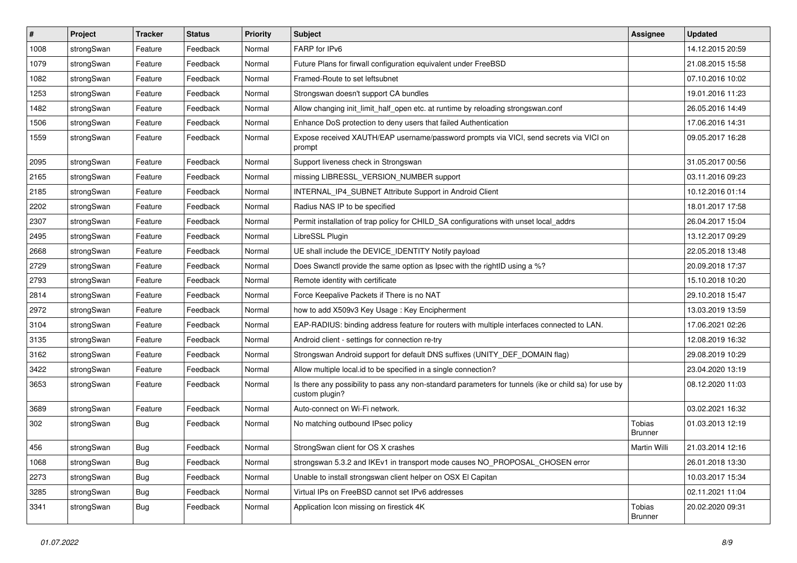| $\sharp$ | Project    | <b>Tracker</b> | <b>Status</b> | <b>Priority</b> | <b>Subject</b>                                                                                                          | Assignee                 | <b>Updated</b>   |
|----------|------------|----------------|---------------|-----------------|-------------------------------------------------------------------------------------------------------------------------|--------------------------|------------------|
| 1008     | strongSwan | Feature        | Feedback      | Normal          | FARP for IPv6                                                                                                           |                          | 14.12.2015 20:59 |
| 1079     | strongSwan | Feature        | Feedback      | Normal          | Future Plans for firwall configuration equivalent under FreeBSD                                                         |                          | 21.08.2015 15:58 |
| 1082     | strongSwan | Feature        | Feedback      | Normal          | Framed-Route to set leftsubnet                                                                                          |                          | 07.10.2016 10:02 |
| 1253     | strongSwan | Feature        | Feedback      | Normal          | Strongswan doesn't support CA bundles                                                                                   |                          | 19.01.2016 11:23 |
| 1482     | strongSwan | Feature        | Feedback      | Normal          | Allow changing init_limit_half_open etc. at runtime by reloading strongswan.conf                                        |                          | 26.05.2016 14:49 |
| 1506     | strongSwan | Feature        | Feedback      | Normal          | Enhance DoS protection to deny users that failed Authentication                                                         |                          | 17.06.2016 14:31 |
| 1559     | strongSwan | Feature        | Feedback      | Normal          | Expose received XAUTH/EAP username/password prompts via VICI, send secrets via VICI on<br>prompt                        |                          | 09.05.2017 16:28 |
| 2095     | strongSwan | Feature        | Feedback      | Normal          | Support liveness check in Strongswan                                                                                    |                          | 31.05.2017 00:56 |
| 2165     | strongSwan | Feature        | Feedback      | Normal          | missing LIBRESSL_VERSION_NUMBER support                                                                                 |                          | 03.11.2016 09:23 |
| 2185     | strongSwan | Feature        | Feedback      | Normal          | INTERNAL_IP4_SUBNET Attribute Support in Android Client                                                                 |                          | 10.12.2016 01:14 |
| 2202     | strongSwan | Feature        | Feedback      | Normal          | Radius NAS IP to be specified                                                                                           |                          | 18.01.2017 17:58 |
| 2307     | strongSwan | Feature        | Feedback      | Normal          | Permit installation of trap policy for CHILD_SA configurations with unset local_addrs                                   |                          | 26.04.2017 15:04 |
| 2495     | strongSwan | Feature        | Feedback      | Normal          | LibreSSL Plugin                                                                                                         |                          | 13.12.2017 09:29 |
| 2668     | strongSwan | Feature        | Feedback      | Normal          | UE shall include the DEVICE_IDENTITY Notify payload                                                                     |                          | 22.05.2018 13:48 |
| 2729     | strongSwan | Feature        | Feedback      | Normal          | Does Swanctl provide the same option as Ipsec with the rightID using a %?                                               |                          | 20.09.2018 17:37 |
| 2793     | strongSwan | Feature        | Feedback      | Normal          | Remote identity with certificate                                                                                        |                          | 15.10.2018 10:20 |
| 2814     | strongSwan | Feature        | Feedback      | Normal          | Force Keepalive Packets if There is no NAT                                                                              |                          | 29.10.2018 15:47 |
| 2972     | strongSwan | Feature        | Feedback      | Normal          | how to add X509v3 Key Usage: Key Encipherment                                                                           |                          | 13.03.2019 13:59 |
| 3104     | strongSwan | Feature        | Feedback      | Normal          | EAP-RADIUS: binding address feature for routers with multiple interfaces connected to LAN.                              |                          | 17.06.2021 02:26 |
| 3135     | strongSwan | Feature        | Feedback      | Normal          | Android client - settings for connection re-try                                                                         |                          | 12.08.2019 16:32 |
| 3162     | strongSwan | Feature        | Feedback      | Normal          | Strongswan Android support for default DNS suffixes (UNITY_DEF_DOMAIN flag)                                             |                          | 29.08.2019 10:29 |
| 3422     | strongSwan | Feature        | Feedback      | Normal          | Allow multiple local.id to be specified in a single connection?                                                         |                          | 23.04.2020 13:19 |
| 3653     | strongSwan | Feature        | Feedback      | Normal          | Is there any possibility to pass any non-standard parameters for tunnels (ike or child sa) for use by<br>custom plugin? |                          | 08.12.2020 11:03 |
| 3689     | strongSwan | Feature        | Feedback      | Normal          | Auto-connect on Wi-Fi network.                                                                                          |                          | 03.02.2021 16:32 |
| 302      | strongSwan | Bug            | Feedback      | Normal          | No matching outbound IPsec policy                                                                                       | Tobias<br><b>Brunner</b> | 01.03.2013 12:19 |
| 456      | strongSwan | Bug            | Feedback      | Normal          | StrongSwan client for OS X crashes                                                                                      | Martin Willi             | 21.03.2014 12:16 |
| 1068     | strongSwan | Bug            | Feedback      | Normal          | strongswan 5.3.2 and IKEv1 in transport mode causes NO PROPOSAL CHOSEN error                                            |                          | 26.01.2018 13:30 |
| 2273     | strongSwan | <b>Bug</b>     | Feedback      | Normal          | Unable to install strongswan client helper on OSX El Capitan                                                            |                          | 10.03.2017 15:34 |
| 3285     | strongSwan | Bug            | Feedback      | Normal          | Virtual IPs on FreeBSD cannot set IPv6 addresses                                                                        |                          | 02.11.2021 11:04 |
| 3341     | strongSwan | Bug            | Feedback      | Normal          | Application Icon missing on firestick 4K                                                                                | <b>Tobias</b><br>Brunner | 20.02.2020 09:31 |